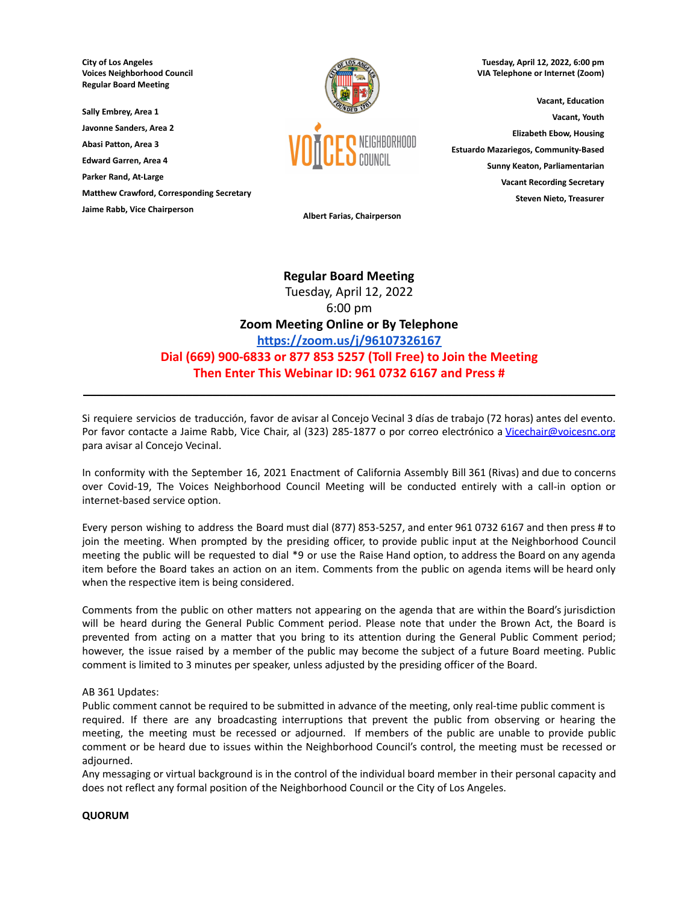**City of Los Angeles Voices Neighborhood Council Regular Board Meeting**

**Sally Embrey, Area 1 Javonne Sanders, Area 2**

**Abasi Patton, Area 3**

**Edward Garren, Area 4**

**Parker Rand, At-Large**

**Matthew Crawford, Corresponding Secretary**

**Jaime Rabb, Vice Chairperson**



**Tuesday, April 12, 2022, 6:00 pm VIA Telephone or Internet (Zoom)**

**Vacant, Education Vacant, Youth Elizabeth Ebow, Housing Estuardo Mazariegos, Community-Based Sunny Keaton, Parliamentarian Vacant Recording Secretary Steven Nieto, Treasurer**

**Albert Farias, Chairperson**

# **Regular Board Meeting** Tuesday, April 12, 2022 6:00 pm **Zoom Meeting Online or By Telephone <https://zoom.us/j/96107326167> Dial (669) 900-6833 or 877 853 5257 (Toll Free) to Join the Meeting Then Enter This Webinar ID: 961 0732 6167 and Press #**

Si requiere servicios de traducción, favor de avisar al Concejo Vecinal 3 días de trabajo (72 horas) antes del evento. Por favor contacte a Jaime Rabb, Vice Chair, al (323) 285-1877 o por correo electrónico a [Vicechair@voicesnc.org](mailto:VNCCorrSec18@gmail.com) para avisar al Concejo Vecinal.

**\_\_\_\_\_\_\_\_\_\_\_\_\_\_\_\_\_\_\_\_\_\_\_\_\_\_\_\_\_\_\_\_\_\_\_\_\_\_\_\_\_\_\_\_\_\_\_\_\_\_\_\_\_\_\_\_\_\_\_\_\_\_\_\_\_\_\_\_\_\_\_\_\_\_\_\_\_\_**

In conformity with the September 16, 2021 Enactment of California Assembly Bill 361 (Rivas) and due to concerns over Covid-19, The Voices Neighborhood Council Meeting will be conducted entirely with a call-in option or internet-based service option.

Every person wishing to address the Board must dial (877) 853-5257, and enter 961 0732 6167 and then press # to join the meeting. When prompted by the presiding officer, to provide public input at the Neighborhood Council meeting the public will be requested to dial \*9 or use the Raise Hand option, to address the Board on any agenda item before the Board takes an action on an item. Comments from the public on agenda items will be heard only when the respective item is being considered.

Comments from the public on other matters not appearing on the agenda that are within the Board's jurisdiction will be heard during the General Public Comment period. Please note that under the Brown Act, the Board is prevented from acting on a matter that you bring to its attention during the General Public Comment period; however, the issue raised by a member of the public may become the subject of a future Board meeting. Public comment is limited to 3 minutes per speaker, unless adjusted by the presiding officer of the Board.

#### AB 361 Updates:

Public comment cannot be required to be submitted in advance of the meeting, only real-time public comment is required. If there are any broadcasting interruptions that prevent the public from observing or hearing the meeting, the meeting must be recessed or adjourned. If members of the public are unable to provide public comment or be heard due to issues within the Neighborhood Council's control, the meeting must be recessed or adjourned.

Any messaging or virtual background is in the control of the individual board member in their personal capacity and does not reflect any formal position of the Neighborhood Council or the City of Los Angeles.

#### **QUORUM**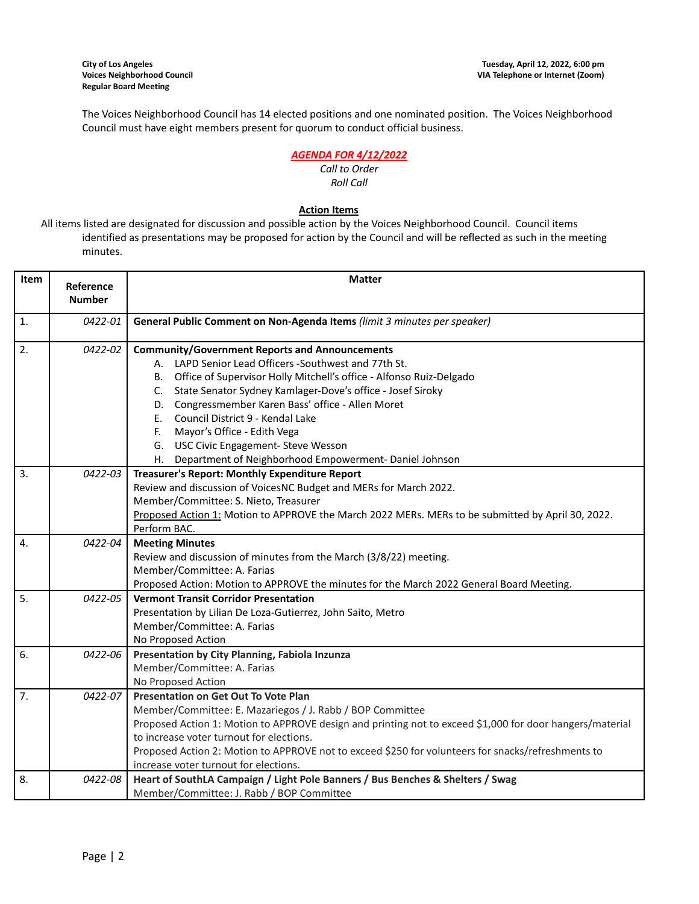The Voices Neighborhood Council has 14 elected positions and one nominated position. The Voices Neighborhood Council must have eight members present for quorum to conduct official business.

### *AGENDA FOR 4/12/2022*

#### *Call to Order Roll Call*

## **Action Items**

All items listed are designated for discussion and possible action by the Voices Neighborhood Council. Council items identified as presentations may be proposed for action by the Council and will be reflected as such in the meeting minutes.

| Item             | Reference     | <b>Matter</b>                                                                                            |  |  |  |
|------------------|---------------|----------------------------------------------------------------------------------------------------------|--|--|--|
|                  | <b>Number</b> |                                                                                                          |  |  |  |
| $\mathbf{1}$ .   | 0422-01       | General Public Comment on Non-Agenda Items (limit 3 minutes per speaker)                                 |  |  |  |
| 2.               | 0422-02       | <b>Community/Government Reports and Announcements</b>                                                    |  |  |  |
|                  |               | A. LAPD Senior Lead Officers -Southwest and 77th St.                                                     |  |  |  |
|                  |               | B. Office of Supervisor Holly Mitchell's office - Alfonso Ruiz-Delgado                                   |  |  |  |
|                  |               | C. State Senator Sydney Kamlager-Dove's office - Josef Siroky                                            |  |  |  |
|                  |               | D. Congressmember Karen Bass' office - Allen Moret                                                       |  |  |  |
|                  |               | Council District 9 - Kendal Lake<br>E.                                                                   |  |  |  |
|                  |               | F. Mayor's Office - Edith Vega                                                                           |  |  |  |
|                  |               | G. USC Civic Engagement- Steve Wesson                                                                    |  |  |  |
|                  |               | H. Department of Neighborhood Empowerment- Daniel Johnson                                                |  |  |  |
| 3.               | 0422-03       | Treasurer's Report: Monthly Expenditure Report                                                           |  |  |  |
|                  |               | Review and discussion of VoicesNC Budget and MERs for March 2022.                                        |  |  |  |
|                  |               | Member/Committee: S. Nieto, Treasurer                                                                    |  |  |  |
|                  |               | Proposed Action 1: Motion to APPROVE the March 2022 MERs. MERs to be submitted by April 30, 2022.        |  |  |  |
|                  |               | Perform BAC.                                                                                             |  |  |  |
| 4.               | 0422-04       | <b>Meeting Minutes</b>                                                                                   |  |  |  |
|                  |               | Review and discussion of minutes from the March (3/8/22) meeting.                                        |  |  |  |
|                  |               | Member/Committee: A. Farias                                                                              |  |  |  |
|                  |               | Proposed Action: Motion to APPROVE the minutes for the March 2022 General Board Meeting.                 |  |  |  |
| 5.               | 0422-05       | <b>Vermont Transit Corridor Presentation</b>                                                             |  |  |  |
|                  |               | Presentation by Lilian De Loza-Gutierrez, John Saito, Metro                                              |  |  |  |
|                  |               | Member/Committee: A. Farias                                                                              |  |  |  |
|                  |               | No Proposed Action                                                                                       |  |  |  |
| 6.               | 0422-06       | Presentation by City Planning, Fabiola Inzunza                                                           |  |  |  |
|                  |               | Member/Committee: A. Farias                                                                              |  |  |  |
|                  |               | No Proposed Action                                                                                       |  |  |  |
| $\overline{7}$ . | 0422-07       | <b>Presentation on Get Out To Vote Plan</b>                                                              |  |  |  |
|                  |               | Member/Committee: E. Mazariegos / J. Rabb / BOP Committee                                                |  |  |  |
|                  |               | Proposed Action 1: Motion to APPROVE design and printing not to exceed \$1,000 for door hangers/material |  |  |  |
|                  |               | to increase voter turnout for elections.                                                                 |  |  |  |
|                  |               | Proposed Action 2: Motion to APPROVE not to exceed \$250 for volunteers for snacks/refreshments to       |  |  |  |
|                  |               | increase voter turnout for elections.                                                                    |  |  |  |
| 8.               | 0422-08       | Heart of SouthLA Campaign / Light Pole Banners / Bus Benches & Shelters / Swag                           |  |  |  |
|                  |               | Member/Committee: J. Rabb / BOP Committee                                                                |  |  |  |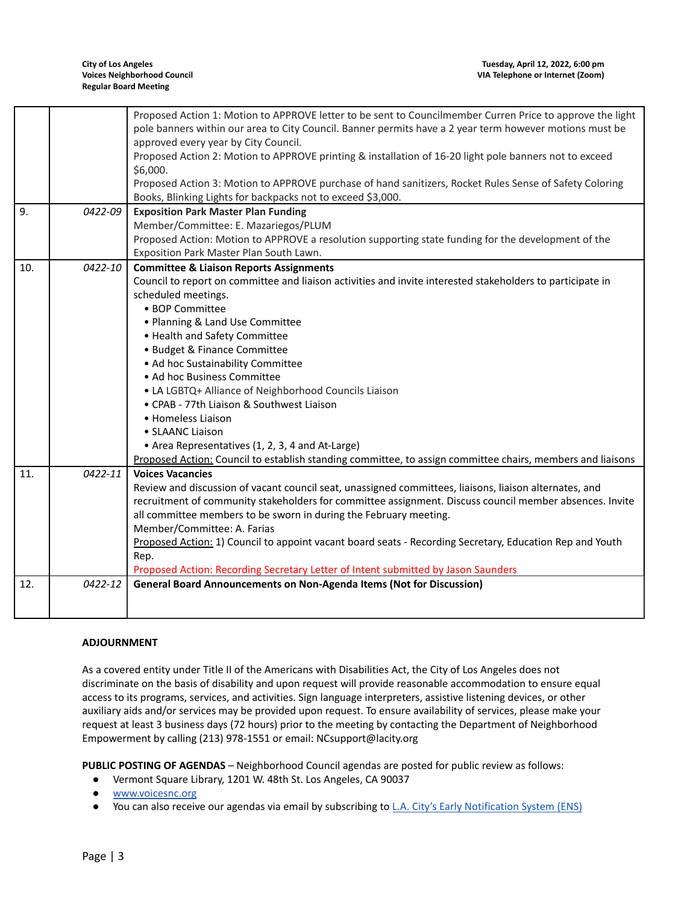|     |         | Proposed Action 1: Motion to APPROVE letter to be sent to Councilmember Curren Price to approve the light<br>pole banners within our area to City Council. Banner permits have a 2 year term however motions must be |
|-----|---------|----------------------------------------------------------------------------------------------------------------------------------------------------------------------------------------------------------------------|
|     |         | approved every year by City Council.                                                                                                                                                                                 |
|     |         | Proposed Action 2: Motion to APPROVE printing & installation of 16-20 light pole banners not to exceed                                                                                                               |
|     |         | \$6,000.                                                                                                                                                                                                             |
|     |         | Proposed Action 3: Motion to APPROVE purchase of hand sanitizers, Rocket Rules Sense of Safety Coloring                                                                                                              |
|     |         | Books, Blinking Lights for backpacks not to exceed \$3,000.                                                                                                                                                          |
| 9.  | 0422-09 | <b>Exposition Park Master Plan Funding</b>                                                                                                                                                                           |
|     |         | Member/Committee: E. Mazariegos/PLUM                                                                                                                                                                                 |
|     |         | Proposed Action: Motion to APPROVE a resolution supporting state funding for the development of the                                                                                                                  |
|     |         | Exposition Park Master Plan South Lawn.                                                                                                                                                                              |
| 10. | 0422-10 | <b>Committee &amp; Liaison Reports Assignments</b>                                                                                                                                                                   |
|     |         | Council to report on committee and liaison activities and invite interested stakeholders to participate in                                                                                                           |
|     |         | scheduled meetings.                                                                                                                                                                                                  |
|     |         | • BOP Committee                                                                                                                                                                                                      |
|     |         | • Planning & Land Use Committee                                                                                                                                                                                      |
|     |         | • Health and Safety Committee                                                                                                                                                                                        |
|     |         | • Budget & Finance Committee                                                                                                                                                                                         |
|     |         | • Ad hoc Sustainability Committee                                                                                                                                                                                    |
|     |         | • Ad hoc Business Committee                                                                                                                                                                                          |
|     |         | • LA LGBTQ+ Alliance of Neighborhood Councils Liaison                                                                                                                                                                |
|     |         | • CPAB - 77th Liaison & Southwest Liaison                                                                                                                                                                            |
|     |         | • Homeless Liaison                                                                                                                                                                                                   |
|     |         | • SLAANC Liaison                                                                                                                                                                                                     |
|     |         | • Area Representatives (1, 2, 3, 4 and At-Large)                                                                                                                                                                     |
|     |         | Proposed Action: Council to establish standing committee, to assign committee chairs, members and liaisons                                                                                                           |
| 11. | 0422-11 | <b>Voices Vacancies</b>                                                                                                                                                                                              |
|     |         | Review and discussion of vacant council seat, unassigned committees, liaisons, liaison alternates, and                                                                                                               |
|     |         | recruitment of community stakeholders for committee assignment. Discuss council member absences. Invite                                                                                                              |
|     |         | all committee members to be sworn in during the February meeting.                                                                                                                                                    |
|     |         | Member/Committee: A. Farias                                                                                                                                                                                          |
|     |         | Proposed Action: 1) Council to appoint vacant board seats - Recording Secretary, Education Rep and Youth                                                                                                             |
|     |         | Rep.                                                                                                                                                                                                                 |
|     |         | Proposed Action: Recording Secretary Letter of Intent submitted by Jason Saunders                                                                                                                                    |
| 12. | 0422-12 | General Board Announcements on Non-Agenda Items (Not for Discussion)                                                                                                                                                 |
|     |         |                                                                                                                                                                                                                      |
|     |         |                                                                                                                                                                                                                      |

#### **ADJOURNMENT**

As a covered entity under Title II of the Americans with Disabilities Act, the City of Los Angeles does not discriminate on the basis of disability and upon request will provide reasonable accommodation to ensure equal access to its programs, services, and activities. Sign language interpreters, assistive listening devices, or other auxiliary aids and/or services may be provided upon request. To ensure availability of services, please make your request at least 3 business days (72 hours) prior to the meeting by contacting the Department of Neighborhood Empowerment by calling (213) 978-1551 or email: NCsupport@lacity.org

**PUBLIC POSTING OF AGENDAS** – Neighborhood Council agendas are posted for public review as follows:

- Vermont Square Library, 1201 W. 48th St. Los Angeles, CA 90037
- [www.voicesnc.org](http://www.voicesnc.org)
- You can also receive our agendas via email by subscribing to L.A. City's Early [Notification](https://www.lacity.org/government/subscribe-agendasnotifications/neighborhood-councils) System (ENS)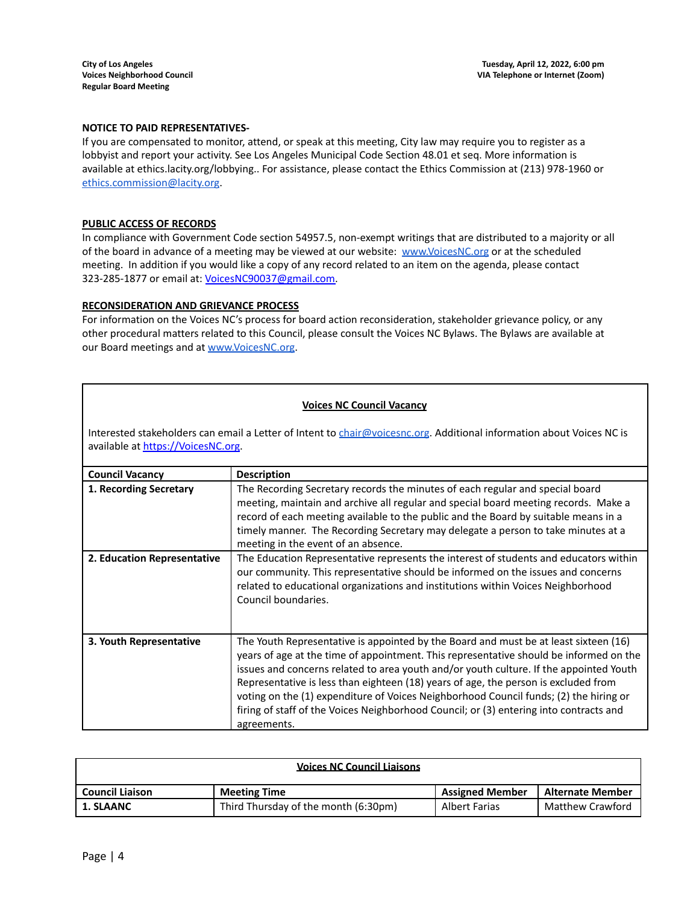#### **NOTICE TO PAID REPRESENTATIVES-**

If you are compensated to monitor, attend, or speak at this meeting, City law may require you to register as a lobbyist and report your activity. See Los Angeles Municipal Code Section 48.01 et seq. More information is available at ethics.lacity.org/lobbying.. For assistance, please contact the Ethics Commission at (213) 978-1960 or [ethics.commission@lacity.org](mailto:ethics.commission@lacity.org).

#### **PUBLIC ACCESS OF RECORDS**

In compliance with Government Code section 54957.5, non-exempt writings that are distributed to a majority or all of the board in advance of a meeting may be viewed at our website: [www.VoicesNC.org](http://www.voicesnc.org) or at the scheduled meeting. In addition if you would like a copy of any record related to an item on the agenda, please contact 323-285-1877 or email at: [VoicesNC90037@gmail.com.](mailto:VoicesNC90037@gmail.com)

#### **RECONSIDERATION AND GRIEVANCE PROCESS**

For information on the Voices NC's process for board action reconsideration, stakeholder grievance policy, or any other procedural matters related to this Council, please consult the Voices NC Bylaws. The Bylaws are available at our Board meetings and at [www.VoicesNC.org](http://www.voicesnc.org).

#### **Voices NC Council Vacancy**

Interested stakeholders can email a Letter of Intent to *[chair@voicesnc.org](mailto:chair@voicesnc.org)*. Additional information about Voices NC is available at [https://VoicesNC.org](https://protect-us.mimecast.com/s/E5C9CqxMrGcYVDosZ0ERi).

| <b>Council Vacancy</b>      | <b>Description</b>                                                                                                                                                                                                                                                                                                                                                                                                                                                                                                                                                |
|-----------------------------|-------------------------------------------------------------------------------------------------------------------------------------------------------------------------------------------------------------------------------------------------------------------------------------------------------------------------------------------------------------------------------------------------------------------------------------------------------------------------------------------------------------------------------------------------------------------|
| 1. Recording Secretary      | The Recording Secretary records the minutes of each regular and special board<br>meeting, maintain and archive all regular and special board meeting records. Make a<br>record of each meeting available to the public and the Board by suitable means in a<br>timely manner. The Recording Secretary may delegate a person to take minutes at a<br>meeting in the event of an absence.                                                                                                                                                                           |
| 2. Education Representative | The Education Representative represents the interest of students and educators within<br>our community. This representative should be informed on the issues and concerns<br>related to educational organizations and institutions within Voices Neighborhood<br>Council boundaries.                                                                                                                                                                                                                                                                              |
| 3. Youth Representative     | The Youth Representative is appointed by the Board and must be at least sixteen (16)<br>years of age at the time of appointment. This representative should be informed on the<br>issues and concerns related to area youth and/or youth culture. If the appointed Youth<br>Representative is less than eighteen (18) years of age, the person is excluded from<br>voting on the (1) expenditure of Voices Neighborhood Council funds; (2) the hiring or<br>firing of staff of the Voices Neighborhood Council; or (3) entering into contracts and<br>agreements. |

| <b>Voices NC Council Liaisons</b> |                                      |                        |                         |
|-----------------------------------|--------------------------------------|------------------------|-------------------------|
| <b>Council Liaison</b>            | <b>Meeting Time</b>                  | <b>Assigned Member</b> | Alternate Member        |
| 1. SLAANC                         | Third Thursday of the month (6:30pm) | <b>Albert Farias</b>   | <b>Matthew Crawford</b> |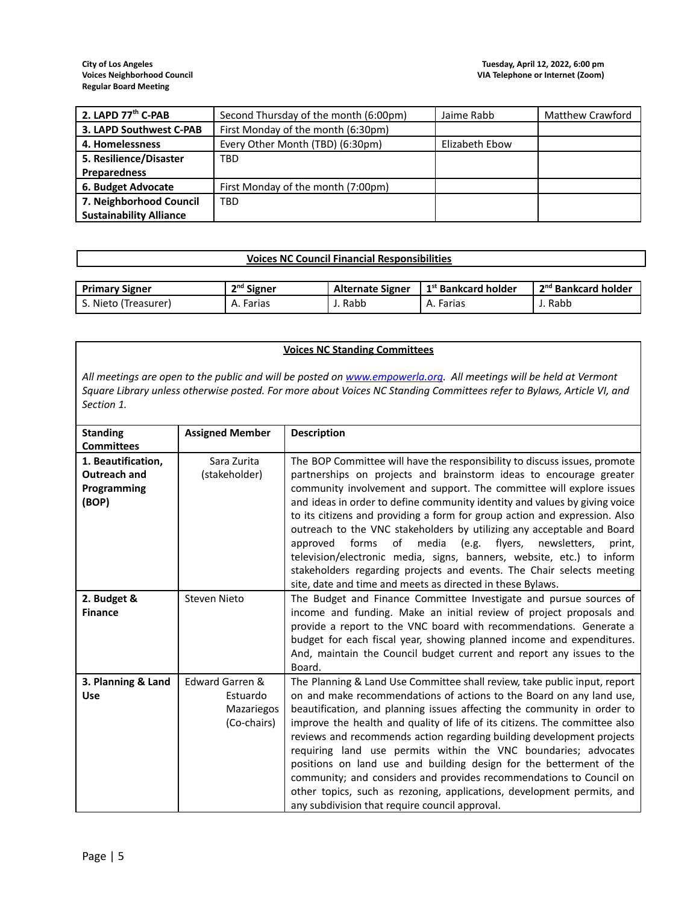| 2. LAPD 77 <sup>th</sup> C-PAB | Second Thursday of the month (6:00pm) | Jaime Rabb     | Matthew Crawford |
|--------------------------------|---------------------------------------|----------------|------------------|
| 3. LAPD Southwest C-PAB        | First Monday of the month (6:30pm)    |                |                  |
| 4. Homelessness                | Every Other Month (TBD) (6:30pm)      | Elizabeth Ebow |                  |
| 5. Resilience/Disaster         | <b>TBD</b>                            |                |                  |
| Preparedness                   |                                       |                |                  |
| 6. Budget Advocate             | First Monday of the month (7:00pm)    |                |                  |
| 7. Neighborhood Council        | <b>TBD</b>                            |                |                  |
| <b>Sustainability Alliance</b> |                                       |                |                  |

# **Voices NC Council Financial Responsibilities**

| <b>Primary Signer</b> | n <sup>nd</sup> Signer | <b>Alternate Signer</b> | $\mathsf{I}$ 1st Bankcard holder | 2 <sup>nd</sup> Bankcard holder |
|-----------------------|------------------------|-------------------------|----------------------------------|---------------------------------|
| Nieto (Treasurer)     | Farias                 | Rabb                    | A. Farias                        | J. Rabb                         |

#### **Voices NC Standing Committees**

All meetings are open to the public and will be posted on [www.empowerla.org](http://www.empowerla.org). All meetings will be held at Vermont Square Library unless otherwise posted. For more about Voices NC Standing Committees refer to Bylaws, Article VI, and *Section 1.*

| <b>Standing</b>                                                                 | <b>Assigned Member</b>                                          | <b>Description</b>                                                                                                                                                                                                                                                                                                                                                                                                                                                                                                                                                                                                                                                                                                               |
|---------------------------------------------------------------------------------|-----------------------------------------------------------------|----------------------------------------------------------------------------------------------------------------------------------------------------------------------------------------------------------------------------------------------------------------------------------------------------------------------------------------------------------------------------------------------------------------------------------------------------------------------------------------------------------------------------------------------------------------------------------------------------------------------------------------------------------------------------------------------------------------------------------|
| <b>Committees</b><br>1. Beautification,<br>Outreach and<br>Programming<br>(BOP) | Sara Zurita<br>(stakeholder)                                    | The BOP Committee will have the responsibility to discuss issues, promote<br>partnerships on projects and brainstorm ideas to encourage greater<br>community involvement and support. The committee will explore issues<br>and ideas in order to define community identity and values by giving voice<br>to its citizens and providing a form for group action and expression. Also<br>outreach to the VNC stakeholders by utilizing any acceptable and Board<br>forms<br>of media (e.g. flyers,<br>approved<br>newsletters,<br>print,<br>television/electronic media, signs, banners, website, etc.) to inform<br>stakeholders regarding projects and events. The Chair selects meeting                                         |
|                                                                                 |                                                                 | site, date and time and meets as directed in these Bylaws.                                                                                                                                                                                                                                                                                                                                                                                                                                                                                                                                                                                                                                                                       |
| 2. Budget &<br><b>Finance</b>                                                   | Steven Nieto                                                    | The Budget and Finance Committee Investigate and pursue sources of<br>income and funding. Make an initial review of project proposals and<br>provide a report to the VNC board with recommendations. Generate a<br>budget for each fiscal year, showing planned income and expenditures.<br>And, maintain the Council budget current and report any issues to the<br>Board.                                                                                                                                                                                                                                                                                                                                                      |
| 3. Planning & Land<br><b>Use</b>                                                | Edward Garren &<br>Estuardo<br><b>Mazariegos</b><br>(Co-chairs) | The Planning & Land Use Committee shall review, take public input, report<br>on and make recommendations of actions to the Board on any land use,<br>beautification, and planning issues affecting the community in order to<br>improve the health and quality of life of its citizens. The committee also<br>reviews and recommends action regarding building development projects<br>requiring land use permits within the VNC boundaries; advocates<br>positions on land use and building design for the betterment of the<br>community; and considers and provides recommendations to Council on<br>other topics, such as rezoning, applications, development permits, and<br>any subdivision that require council approval. |